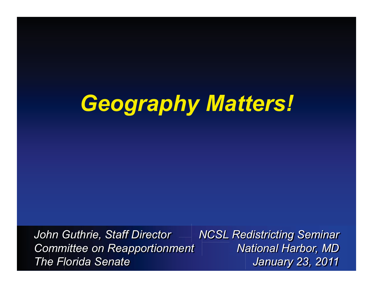# *Geography Matters!*

*John Guthrie, Staff Director Committee on Reapportionment The Florida Senate*

*NCSL Redistricting Seminar National Harbor, MD January 23, 2011*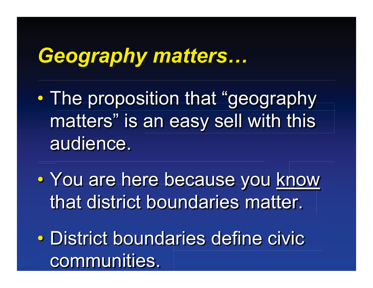# *Geography matters…*

 $\bullet$ • The proposition that "geography matters" is an easy sell with this audience.

 $\bullet$ • You are here because you know that district boundaries matter.

 $\bullet$  District boundaries define civic communities.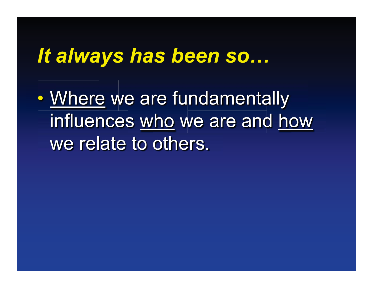#### *It always has been so…*

 $\bullet$ • Where we are fundamentally influences who we are and how we relate to others.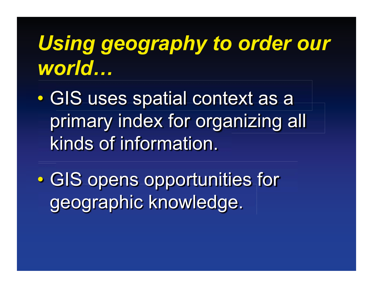# *Using geography to order our world…*

 $\bullet$  GIS uses spatial context as a primary index for organizing all kinds of information.

 $\bullet$  GIS opens opportunities for geographic knowledge.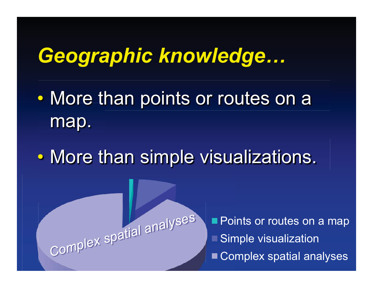## *Geographic knowledge…*

- $\bullet$ • More than points or routes on a map.
- $\bullet$ • More than simple visualizations.

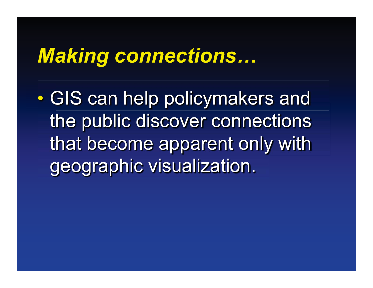### *Making connections…*

 $\bullet$  GIS can help policymakers and the public discover connections that become apparent only with geographic visualization.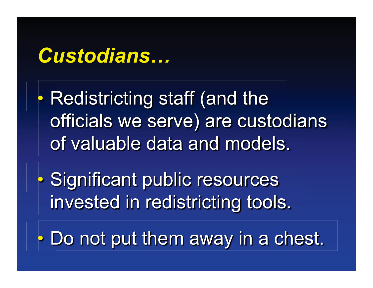### *Custodians…*

 $\bullet$  Redistricting staff (and the officials we serve) are custodians of valuable data and models.

 $\bullet$  Significant public resources invested in redistricting tools.

 $\bullet$ Do not put them away in a chest.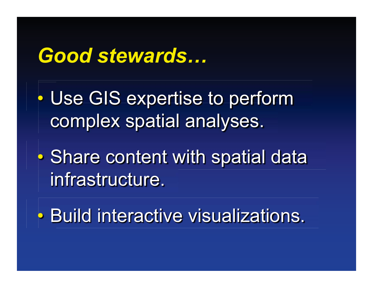#### *Good stewards…*

- $\bullet$  Use GIS expertise to perform complex spatial analyses.
- $\bullet$ **• Share content with spatial data** infrastructure.
- $\bullet$ • Build interactive visualizations.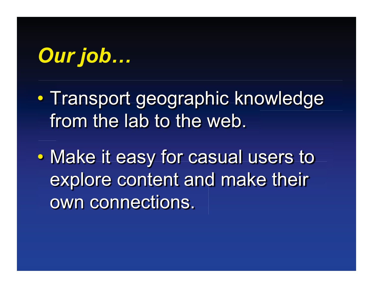# *Our job…*

 $\bullet$ • Transport geographic knowledge from the lab to the web.

 $\bullet$  Make it easy for casual users to explore content and make their own connections.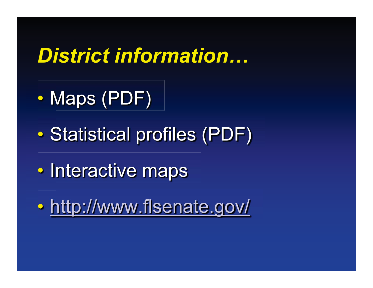## *District information…*

- $\bullet$ • Maps (PDF)
- $\bullet$ Statistical profiles (PDF)
- $\bullet$ • Interactive maps
- $\bullet$ • http://www.flsenate.gov/